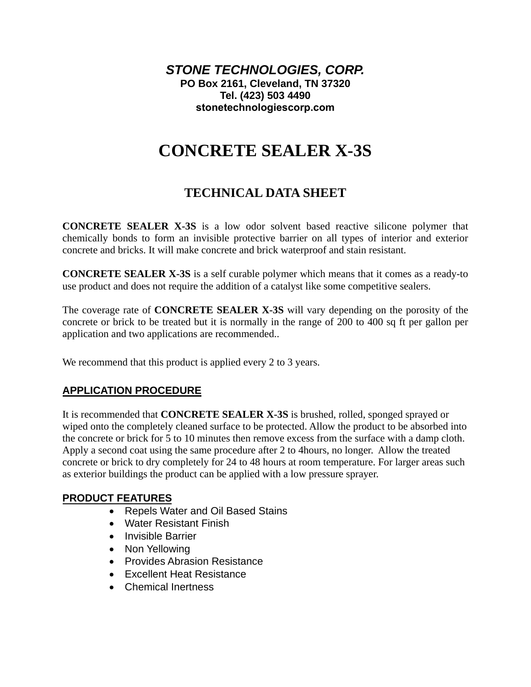*STONE TECHNOLOGIES, CORP.*  **PO Box 2161, Cleveland, TN 37320 Tel. (423) 503 4490 [stonetechnologiescorp.com](https://stonetechnologiescorp.com)**

# **CONCRETE SEALER X-3S**

## **TECHNICAL DATA SHEET**

**CONCRETE SEALER X-3S** is a low odor solvent based reactive silicone polymer that chemically bonds to form an invisible protective barrier on all types of interior and exterior concrete and bricks. It will make concrete and brick waterproof and stain resistant.

**CONCRETE SEALER X-3S** is a self curable polymer which means that it comes as a ready-to use product and does not require the addition of a catalyst like some competitive sealers.

The coverage rate of **CONCRETE SEALER X-3S** will vary depending on the porosity of the concrete or brick to be treated but it is normally in the range of 200 to 400 sq ft per gallon per application and two applications are recommended..

We recommend that this product is applied every 2 to 3 years.

#### **APPLICATION PROCEDURE**

It is recommended that **CONCRETE SEALER X-3S** is brushed, rolled, sponged sprayed or wiped onto the completely cleaned surface to be protected. Allow the product to be absorbed into the concrete or brick for 5 to 10 minutes then remove excess from the surface with a damp cloth. Apply a second coat using the same procedure after 2 to 4hours, no longer. Allow the treated concrete or brick to dry completely for 24 to 48 hours at room temperature. For larger areas such as exterior buildings the product can be applied with a low pressure sprayer.

#### **PRODUCT FEATURES**

- Repels Water and Oil Based Stains
- Water Resistant Finish
- Invisible Barrier
- Non Yellowing
- Provides Abrasion Resistance
- Excellent Heat Resistance
- Chemical Inertness